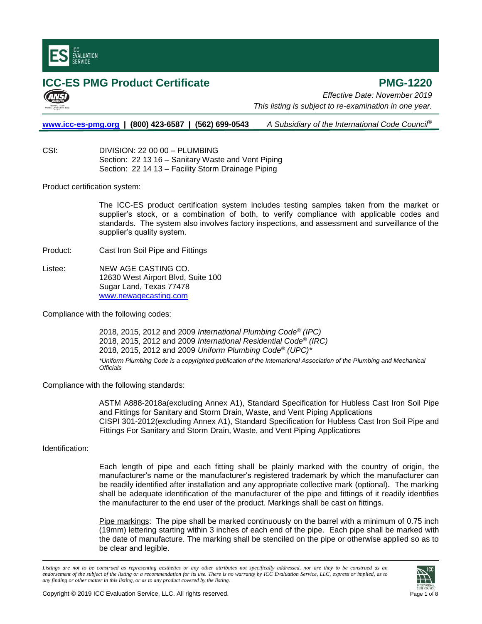

## **ICC-ES PMG Product Certificate PMG-1220**

*Effective Date: November 2019 This listing is subject to re-examination in one year.*

**[www.icc-es-pmg.org](http://www.icc-es-pmg.org/) | (800) 423-6587 | (562) 699-0543** *A Subsidiary of the International Code Council*®

CSI: DIVISION: 22 00 00 – PLUMBING Section: 22 13 16 – Sanitary Waste and Vent Piping Section: 22 14 13 – Facility Storm Drainage Piping

Product certification system:

The ICC-ES product certification system includes testing samples taken from the market or supplier's stock, or a combination of both, to verify compliance with applicable codes and standards. The system also involves factory inspections, and assessment and surveillance of the supplier's quality system.

Product: Cast Iron Soil Pipe and Fittings

Listee: NEW AGE CASTING CO. 12630 West Airport Blvd, Suite 100 Sugar Land, Texas 77478 [www.newagecasting.com](http://www.newagecasting.com/)

Compliance with the following codes:

2018, 2015, 2012 and 2009 *International Plumbing Code® (IPC)* 2018, 2015, 2012 and 2009 *International Residential Code® (IRC)* 2018, 2015, 2012 and 2009 *Uniform Plumbing Code® (UPC)\* \*Uniform Plumbing Code is a copyrighted publication of the International Association of the Plumbing and Mechanical Officials*

Compliance with the following standards:

ASTM A888-2018a(excluding Annex A1), Standard Specification for Hubless Cast Iron Soil Pipe and Fittings for Sanitary and Storm Drain, Waste, and Vent Piping Applications CISPI 301-2012(excluding Annex A1), Standard Specification for Hubless Cast Iron Soil Pipe and Fittings For Sanitary and Storm Drain, Waste, and Vent Piping Applications

Identification:

Each length of pipe and each fitting shall be plainly marked with the country of origin, the manufacturer's name or the manufacturer's registered trademark by which the manufacturer can be readily identified after installation and any appropriate collective mark (optional). The marking shall be adequate identification of the manufacturer of the pipe and fittings of it readily identifies the manufacturer to the end user of the product. Markings shall be cast on fittings.

Pipe markings: The pipe shall be marked continuously on the barrel with a minimum of 0.75 inch (19mm) lettering starting within 3 inches of each end of the pipe. Each pipe shall be marked with the date of manufacture. The marking shall be stenciled on the pipe or otherwise applied so as to be clear and legible.

*Listings are not to be construed as representing aesthetics or any other attributes not specifically addressed, nor are they to be construed as an endorsement of the subject of the listing or a recommendation for its use. There is no warranty by ICC Evaluation Service, LLC, express or implied, as to any finding or other matter in this listing, or as to any product covered by the listing.*

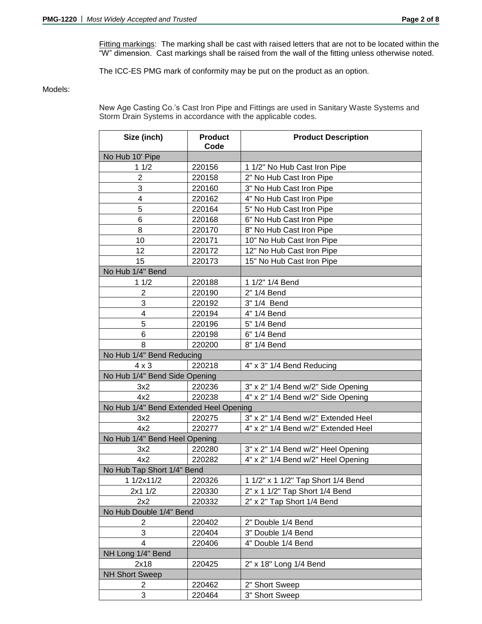Fitting markings: The marking shall be cast with raised letters that are not to be located within the "W" dimension. Cast markings shall be raised from the wall of the fitting unless otherwise noted.

The ICC-ES PMG mark of conformity may be put on the product as an option.

## Models:

New Age Casting Co.'s Cast Iron Pipe and Fittings are used in Sanitary Waste Systems and Storm Drain Systems in accordance with the applicable codes.

| Size (inch)                            | <b>Product</b><br>Code | <b>Product Description</b>          |
|----------------------------------------|------------------------|-------------------------------------|
| No Hub 10' Pipe                        |                        |                                     |
| 11/2                                   | 220156                 | 1 1/2" No Hub Cast Iron Pipe        |
| $\mathbf{2}$                           | 220158                 | 2" No Hub Cast Iron Pipe            |
| 3                                      | 220160                 | 3" No Hub Cast Iron Pipe            |
| 4                                      | 220162                 | 4" No Hub Cast Iron Pipe            |
| 5                                      | 220164                 | 5" No Hub Cast Iron Pipe            |
| 6                                      | 220168                 | 6" No Hub Cast Iron Pipe            |
| 8                                      | 220170                 | 8" No Hub Cast Iron Pipe            |
| 10                                     | 220171                 | 10" No Hub Cast Iron Pipe           |
| 12                                     | 220172                 | 12" No Hub Cast Iron Pipe           |
| 15                                     | 220173                 | 15" No Hub Cast Iron Pipe           |
| No Hub 1/4" Bend                       |                        |                                     |
| 11/2                                   | 220188                 | 1 1/2" 1/4 Bend                     |
| $\overline{2}$                         | 220190                 | 2" 1/4 Bend                         |
| 3                                      | 220192                 | 3" 1/4 Bend                         |
| 4                                      | 220194                 | 4" 1/4 Bend                         |
| 5                                      | 220196                 | 5" 1/4 Bend                         |
| 6                                      | 220198                 | 6" 1/4 Bend                         |
| 8                                      | 220200                 | 8" 1/4 Bend                         |
| No Hub 1/4" Bend Reducing              |                        |                                     |
| $4 \times 3$                           | 220218                 | 4" x 3" 1/4 Bend Reducing           |
| No Hub 1/4" Bend Side Opening          |                        |                                     |
| 3x2                                    | 220236                 | 3" x 2" 1/4 Bend w/2" Side Opening  |
| 4x2                                    | 220238                 | 4" x 2" 1/4 Bend w/2" Side Opening  |
| No Hub 1/4" Bend Extended Heel Opening |                        |                                     |
| 3x2                                    | 220275                 | 3" x 2" 1/4 Bend w/2" Extended Heel |
| 4x2                                    | 220277                 | 4" x 2" 1/4 Bend w/2" Extended Heel |
| No Hub 1/4" Bend Heel Opening          |                        |                                     |
| 3x2                                    | 220280                 | 3" x 2" 1/4 Bend w/2" Heel Opening  |
| 4x2                                    | 220282                 | 4" x 2" 1/4 Bend w/2" Heel Opening  |
| No Hub Tap Short 1/4" Bend             |                        |                                     |
| 1 1/2x11/2                             | 220326                 | 1 1/2" x 1 1/2" Tap Short 1/4 Bend  |
| 2x1 1/2                                | 220330                 | 2" x 1 1/2" Tap Short 1/4 Bend      |
| 2x2                                    | 220332                 | 2" x 2" Tap Short 1/4 Bend          |
| No Hub Double 1/4" Bend                |                        |                                     |
| 2                                      | 220402                 | 2" Double 1/4 Bend                  |
| 3                                      | 220404                 | 3" Double 1/4 Bend                  |
| 4                                      | 220406                 | 4" Double 1/4 Bend                  |
| NH Long 1/4" Bend                      |                        |                                     |
| 2x18                                   | 220425                 | 2" x 18" Long 1/4 Bend              |
| <b>NH Short Sweep</b>                  |                        |                                     |
| 2                                      | 220462                 | 2" Short Sweep                      |
| 3                                      | 220464                 | 3" Short Sweep                      |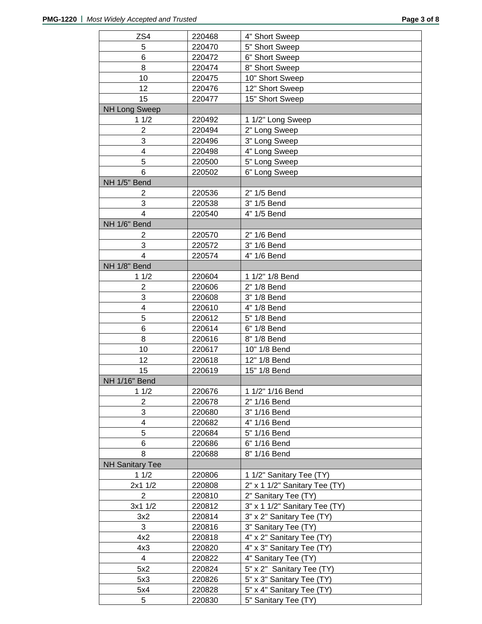| ZS4                    | 220468 | 4" Short Sweep                |
|------------------------|--------|-------------------------------|
| 5                      | 220470 | 5" Short Sweep                |
| 6                      | 220472 | 6" Short Sweep                |
| 8                      | 220474 | 8" Short Sweep                |
| 10                     | 220475 | 10" Short Sweep               |
| 12                     | 220476 | 12" Short Sweep               |
| 15                     | 220477 | 15" Short Sweep               |
| <b>NH Long Sweep</b>   |        |                               |
| 11/2                   | 220492 | 1 1/2" Long Sweep             |
| $\overline{2}$         | 220494 | 2" Long Sweep                 |
| 3                      | 220496 | 3" Long Sweep                 |
| 4                      | 220498 | 4" Long Sweep                 |
| 5                      | 220500 | 5" Long Sweep                 |
| 6                      | 220502 | 6" Long Sweep                 |
| NH 1/5" Bend           |        |                               |
| 2                      | 220536 | 2" 1/5 Bend                   |
| 3                      | 220538 | 3" 1/5 Bend                   |
| 4                      | 220540 | 4" 1/5 Bend                   |
| NH 1/6" Bend           |        |                               |
| 2                      | 220570 | 2" 1/6 Bend                   |
| 3                      | 220572 | 3" 1/6 Bend                   |
| 4                      | 220574 | 4" 1/6 Bend                   |
| NH 1/8" Bend           |        |                               |
| 11/2                   | 220604 | 1 1/2" 1/8 Bend               |
| $\overline{2}$         | 220606 | 2" 1/8 Bend                   |
| 3                      | 220608 | 3" 1/8 Bend                   |
| 4                      | 220610 | 4" 1/8 Bend                   |
| 5                      | 220612 | 5" 1/8 Bend                   |
| 6                      | 220614 | 6" 1/8 Bend                   |
| 8                      | 220616 | 8" 1/8 Bend                   |
| 10                     | 220617 | 10" 1/8 Bend                  |
| 12                     | 220618 | 12" 1/8 Bend                  |
| 15                     | 220619 | 15" 1/8 Bend                  |
| <b>NH 1/16" Bend</b>   |        |                               |
| 11/2                   | 220676 | 1 1/2" 1/16 Bend              |
| 2                      | 220678 | 2" 1/16 Bend                  |
| 3                      | 220680 | 3" 1/16 Bend                  |
| 4                      | 220682 | 4" 1/16 Bend                  |
| 5                      | 220684 | 5" 1/16 Bend                  |
| 6                      | 220686 | 6" 1/16 Bend                  |
| 8                      | 220688 | 8" 1/16 Bend                  |
| <b>NH Sanitary Tee</b> |        |                               |
| 11/2                   | 220806 | 1 1/2" Sanitary Tee (TY)      |
| 2x1 1/2                | 220808 | 2" x 1 1/2" Sanitary Tee (TY) |
| $\overline{2}$         | 220810 | 2" Sanitary Tee (TY)          |
| 3x1 1/2                | 220812 | 3" x 1 1/2" Sanitary Tee (TY) |
| 3x2                    | 220814 | 3" x 2" Sanitary Tee (TY)     |
| 3                      | 220816 | 3" Sanitary Tee (TY)          |
| 4x2                    | 220818 | 4" x 2" Sanitary Tee (TY)     |
| 4x3                    | 220820 | 4" x 3" Sanitary Tee (TY)     |
| 4                      | 220822 | 4" Sanitary Tee (TY)          |
| 5x2                    | 220824 | 5" x 2" Sanitary Tee (TY)     |
| 5x3                    | 220826 | 5" x 3" Sanitary Tee (TY)     |
| 5x4                    | 220828 | 5" x 4" Sanitary Tee (TY)     |
| 5                      | 220830 | 5" Sanitary Tee (TY)          |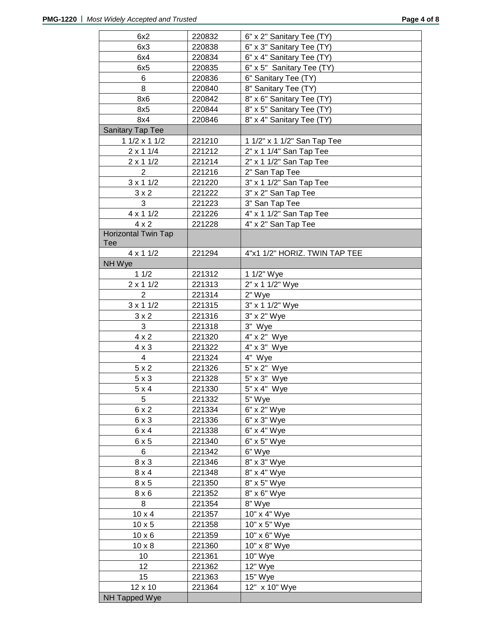| 6x2                 | 220832 | 6" x 2" Sanitary Tee (TY)     |
|---------------------|--------|-------------------------------|
| 6x3                 | 220838 | 6" x 3" Sanitary Tee (TY)     |
| 6x4                 | 220834 | 6" x 4" Sanitary Tee (TY)     |
| 6x5                 | 220835 | 6" x 5" Sanitary Tee (TY)     |
| 6                   | 220836 | 6" Sanitary Tee (TY)          |
| 8                   | 220840 | 8" Sanitary Tee (TY)          |
| 8x6                 | 220842 | 8" x 6" Sanitary Tee (TY)     |
| 8x5                 | 220844 | 8" x 5" Sanitary Tee (TY)     |
| 8x4                 | 220846 | 8" x 4" Sanitary Tee (TY)     |
| Sanitary Tap Tee    |        |                               |
| $11/2 \times 11/2$  | 221210 | 1 1/2" x 1 1/2" San Tap Tee   |
| $2 \times 11/4$     | 221212 | 2" x 1 1/4" San Tap Tee       |
| $2 \times 11/2$     | 221214 | 2" x 1 1/2" San Tap Tee       |
| 2                   | 221216 | 2" San Tap Tee                |
| $3 \times 11/2$     | 221220 | 3" x 1 1/2" San Tap Tee       |
| $3 \times 2$        | 221222 | 3" x 2" San Tap Tee           |
| 3                   | 221223 | 3" San Tap Tee                |
| $4 \times 11/2$     | 221226 | 4" x 1 1/2" San Tap Tee       |
| $4 \times 2$        | 221228 | 4" x 2" San Tap Tee           |
| Horizontal Twin Tap |        |                               |
| Tee                 |        |                               |
| $4 \times 11/2$     | 221294 | 4"x1 1/2" HORIZ. TWIN TAP TEE |
| NH Wye              |        |                               |
| 11/2                | 221312 | 1 1/2" Wye                    |
| $2 \times 11/2$     | 221313 | 2" x 1 1/2" Wye               |
| $\overline{2}$      | 221314 | 2" Wye                        |
| $3 \times 11/2$     | 221315 | 3" x 1 1/2" Wye               |
| $3 \times 2$        | 221316 | 3" x 2" Wye                   |
| 3                   | 221318 | 3" Wye                        |
| $4 \times 2$        | 221320 | 4" x 2" Wye                   |
| $4 \times 3$        | 221322 | $4" \times 3"$ Wye            |
| 4                   | 221324 | 4" Wye                        |
| 5x2                 | 221326 | 5" x 2" Wye                   |
| 5x3                 | 221328 | 5" x 3" Wye                   |
| $5 \times 4$        | 221330 | 5" x 4" Wye                   |
| 5                   | 221332 | 5" Wye                        |
| 6x2                 | 221334 | 6" x 2" Wye                   |
| 6x3                 | 221336 | 6" x 3" Wye                   |
| 6x4                 | 221338 | 6" x 4" Wye                   |
| 6x5                 | 221340 | 6" x 5" Wye                   |
| 6                   | 221342 | 6" Wye                        |
| $8 \times 3$        | 221346 | 8" x 3" Wye                   |
| $8 \times 4$        | 221348 | 8" x 4" Wye                   |
| 8x5                 | 221350 | 8" x 5" Wye                   |
| $8 \times 6$        | 221352 | 8" x 6" Wye                   |
| 8                   | 221354 | 8" Wye                        |
| $10 \times 4$       | 221357 | 10" x 4" Wye                  |
| $10 \times 5$       | 221358 | 10" x 5" Wye                  |
| $10 \times 6$       | 221359 | 10" x 6" Wye                  |
| $10 \times 8$       | 221360 | 10" x 8" Wye                  |
| 10                  | 221361 | 10" Wye                       |
| 12                  | 221362 | 12" Wye                       |
| 15                  | 221363 | 15" Wye                       |
| 12 x 10             | 221364 | 12" x 10" Wye                 |
| NH Tapped Wye       |        |                               |
|                     |        |                               |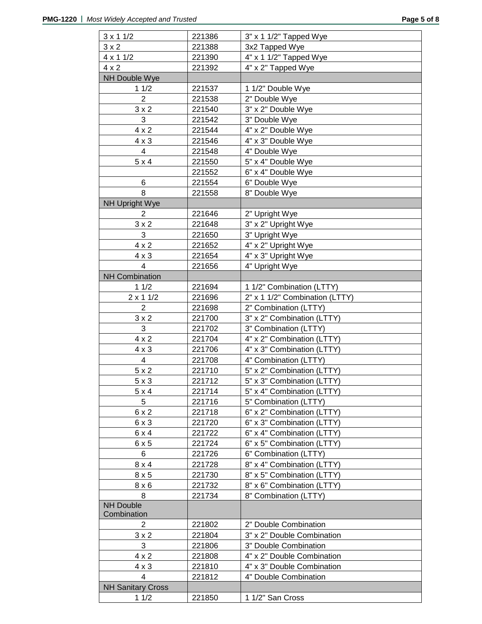| $3 \times 11/2$                 | 221386 | 3" x 1 1/2" Tapped Wye         |
|---------------------------------|--------|--------------------------------|
| $3 \times 2$                    | 221388 | 3x2 Tapped Wye                 |
| $4 \times 11/2$                 | 221390 | 4" x 1 1/2" Tapped Wye         |
| $4 \times 2$                    | 221392 | 4" x 2" Tapped Wye             |
| <b>NH Double Wye</b>            |        |                                |
| 11/2                            | 221537 | 1 1/2" Double Wye              |
| $\overline{2}$                  | 221538 | 2" Double Wye                  |
| $3 \times 2$                    | 221540 | 3" x 2" Double Wye             |
| 3                               | 221542 | 3" Double Wye                  |
| $4 \times 2$                    | 221544 | 4" x 2" Double Wye             |
| $4 \times 3$                    | 221546 | 4" x 3" Double Wye             |
| 4                               | 221548 | 4" Double Wye                  |
| 5x4                             | 221550 | 5" x 4" Double Wye             |
|                                 | 221552 | 6" x 4" Double Wye             |
| 6                               | 221554 | 6" Double Wye                  |
| 8                               | 221558 | 8" Double Wye                  |
| <b>NH Upright Wye</b>           |        |                                |
| $\overline{2}$                  | 221646 | 2" Upright Wye                 |
| $3 \times 2$                    | 221648 | 3" x 2" Upright Wye            |
| 3                               | 221650 | 3" Upright Wye                 |
| $4 \times 2$                    | 221652 | 4" x 2" Upright Wye            |
|                                 | 221654 |                                |
| $4 \times 3$<br>$\overline{4}$  | 221656 | 4" x 3" Upright Wye            |
| <b>NH Combination</b>           |        | 4" Upright Wye                 |
|                                 |        |                                |
| 11/2                            | 221694 | 1 1/2" Combination (LTTY)      |
| $2 \times 11/2$                 | 221696 | 2" x 1 1/2" Combination (LTTY) |
| 2                               | 221698 | 2" Combination (LTTY)          |
| $3 \times 2$                    | 221700 | 3" x 2" Combination (LTTY)     |
| 3                               | 221702 | 3" Combination (LTTY)          |
| $4 \times 2$                    | 221704 | 4" x 2" Combination (LTTY)     |
| $4 \times 3$                    | 221706 | 4" x 3" Combination (LTTY)     |
| $\overline{4}$                  | 221708 | 4" Combination (LTTY)          |
| 5x2                             | 221710 | 5" x 2" Combination (LTTY)     |
| $5 \times 3$                    | 221712 | 5" x 3" Combination (LTTY)     |
| $5 \times 4$                    | 221714 | 5" x 4" Combination (LTTY)     |
| 5                               | 221716 | 5" Combination (LTTY)          |
| 6 x 2                           | 221718 | 6" x 2" Combination (LTTY)     |
| 6x3                             | 221720 | 6" x 3" Combination (LTTY)     |
| $6 \times 4$                    | 221722 | 6" x 4" Combination (LTTY)     |
| 6x5                             | 221724 | 6" x 5" Combination (LTTY)     |
| 6                               | 221726 | 6" Combination (LTTY)          |
| $8 \times 4$                    | 221728 | 8" x 4" Combination (LTTY)     |
| 8x5                             | 221730 | 8" x 5" Combination (LTTY)     |
| $8 \times 6$                    | 221732 | 8" x 6" Combination (LTTY)     |
| 8                               | 221734 | 8" Combination (LTTY)          |
| <b>NH Double</b><br>Combination |        |                                |
| 2                               | 221802 | 2" Double Combination          |
| 3x2                             | 221804 | 3" x 2" Double Combination     |
| 3                               | 221806 | 3" Double Combination          |
| $4 \times 2$                    | 221808 | 4" x 2" Double Combination     |
| $4 \times 3$                    | 221810 | 4" x 3" Double Combination     |
| 4                               | 221812 | 4" Double Combination          |
| <b>NH Sanitary Cross</b>        |        |                                |
| 11/2                            | 221850 | 1 1/2" San Cross               |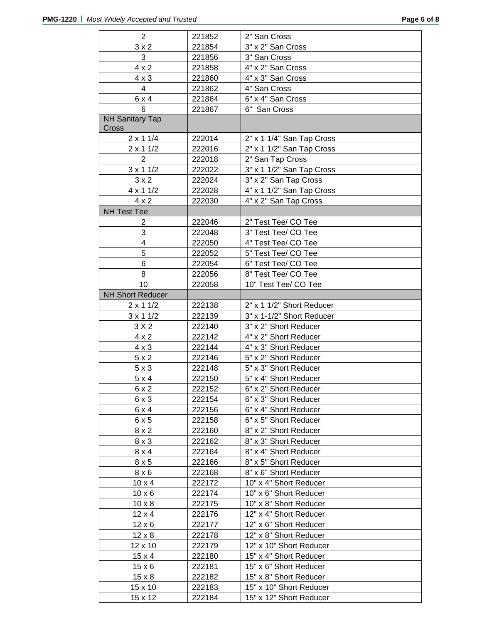| $\overline{a}$          | 221852 | 2" San Cross              |
|-------------------------|--------|---------------------------|
| 3x2                     | 221854 | 3" x 2" San Cross         |
| 3                       | 221856 | 3" San Cross              |
| $4 \times 2$            | 221858 | 4" x 2" San Cross         |
| $4 \times 3$            | 221860 | 4" x 3" San Cross         |
| 4                       | 221862 | 4" San Cross              |
| 6x4                     | 221864 | 6" x 4" San Cross         |
| 6                       | 221867 | 6" San Cross              |
| <b>NH Sanitary Tap</b>  |        |                           |
| Cross                   |        |                           |
| $2 \times 11/4$         | 222014 | 2" x 1 1/4" San Tap Cross |
| $2 \times 11/2$         | 222016 | 2" x 1 1/2" San Tap Cross |
| $\overline{2}$          | 222018 | 2" San Tap Cross          |
| $3 \times 11/2$         | 222022 | 3" x 1 1/2" San Tap Cross |
| $3 \times 2$            | 222024 | 3" x 2" San Tap Cross     |
| $4 \times 11/2$         | 222028 | 4" x 1 1/2" San Tap Cross |
| $4 \times 2$            | 222030 | 4" x 2" San Tap Cross     |
| <b>NH Test Tee</b>      |        |                           |
| 2                       | 222046 | 2" Test Tee/ CO Tee       |
| 3                       | 222048 | 3" Test Tee/ CO Tee       |
| 4                       | 222050 | 4" Test Tee/ CO Tee       |
| 5                       | 222052 | 5" Test Tee/ CO Tee       |
| 6                       | 222054 | 6" Test Tee/ CO Tee       |
| 8                       | 222056 | 8" Test Tee/ CO Tee       |
| 10                      | 222058 | 10" Test Tee/ CO Tee      |
| <b>NH Short Reducer</b> |        |                           |
| $2 \times 11/2$         | 222138 | 2" x 1 1/2" Short Reducer |
| $3 \times 11/2$         | 222139 | 3" x 1-1/2" Short Reducer |
| 3 X 2                   | 222140 | 3" x 2" Short Reducer     |
| $4 \times 2$            | 222142 | 4" x 2" Short Reducer     |
| $4 \times 3$            | 222144 | 4" x 3" Short Reducer     |
| 5x2                     | 222146 | 5" x 2" Short Reducer     |
| 5x3                     | 222148 | 5" x 3" Short Reducer     |
| 5x4                     | 222150 | 5" x 4" Short Reducer     |
| 6x2                     | 222152 | 6" x 2" Short Reducer     |
| 6x3                     | 222154 | 6" x 3" Short Reducer     |
| 6 x 4                   | 222156 | 6" x 4" Short Reducer     |
| 6x5                     | 222158 | 6" x 5" Short Reducer     |
| $8 \times 2$            | 222160 | 8" x 2" Short Reducer     |
| $8 \times 3$            | 222162 | 8" x 3" Short Reducer     |
| 8x4                     | 222164 | 8" x 4" Short Reducer     |
| 8x5                     | 222166 | 8" x 5" Short Reducer     |
| 8 x 6                   | 222168 | 8" x 6" Short Reducer     |
| $10 \times 4$           | 222172 | 10" x 4" Short Reducer    |
| $10 \times 6$           | 222174 | 10" x 6" Short Reducer    |
| $10 \times 8$           | 222175 | 10" x 8" Short Reducer    |
| $12 \times 4$           | 222176 | 12" x 4" Short Reducer    |
| 12 x 6                  | 222177 | 12" x 6" Short Reducer    |
| $12 \times 8$           | 222178 | 12" x 8" Short Reducer    |
| 12 x 10                 | 222179 | 12" x 10" Short Reducer   |
| $15 \times 4$           | 222180 | 15" x 4" Short Reducer    |
| $15 \times 6$           | 222181 | 15" x 6" Short Reducer    |
| $15 \times 8$           | 222182 | 15" x 8" Short Reducer    |
| 15 x 10                 | 222183 | 15" x 10" Short Reducer   |
| 15 x 12                 | 222184 | 15" x 12" Short Reducer   |
|                         |        |                           |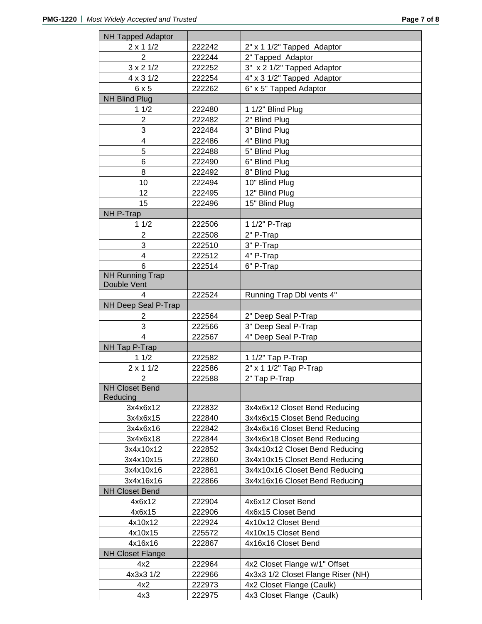| <b>NH Tapped Adaptor</b> |        |                                    |
|--------------------------|--------|------------------------------------|
| $2 \times 11/2$          | 222242 | 2" x 1 1/2" Tapped Adaptor         |
| $\overline{2}$           | 222244 | 2" Tapped Adaptor                  |
| $3 \times 2 \frac{1}{2}$ | 222252 | 3" x 2 1/2" Tapped Adaptor         |
| $4 \times 3 \frac{1}{2}$ | 222254 | 4" x 3 1/2" Tapped Adaptor         |
| 6x5                      | 222262 | 6" x 5" Tapped Adaptor             |
| <b>NH Blind Plug</b>     |        |                                    |
| 11/2                     | 222480 | 1 1/2" Blind Plug                  |
| $\overline{c}$           | 222482 | 2" Blind Plug                      |
| 3                        | 222484 | 3" Blind Plug                      |
| 4                        | 222486 | 4" Blind Plug                      |
| 5                        | 222488 | 5" Blind Plug                      |
| 6                        | 222490 | 6" Blind Plug                      |
| 8                        | 222492 | 8" Blind Plug                      |
| 10                       | 222494 | 10" Blind Plug                     |
| 12                       | 222495 | 12" Blind Plug                     |
| 15                       | 222496 | 15" Blind Plug                     |
| NH P-Trap                |        |                                    |
| 11/2                     | 222506 | 1 1/2" P-Trap                      |
| $\overline{c}$           | 222508 | 2" P-Trap                          |
| 3                        | 222510 | 3" P-Trap                          |
| $\overline{\mathbf{4}}$  | 222512 | 4" P-Trap                          |
| 6                        | 222514 | 6" P-Trap                          |
| <b>NH Running Trap</b>   |        |                                    |
| Double Vent              |        |                                    |
| 4                        | 222524 | Running Trap Dbl vents 4"          |
| NH Deep Seal P-Trap      |        |                                    |
| $\overline{2}$           | 222564 | 2" Deep Seal P-Trap                |
| 3                        | 222566 | 3" Deep Seal P-Trap                |
| $\overline{4}$           | 222567 | 4" Deep Seal P-Trap                |
| NH Tap P-Trap            |        |                                    |
| 11/2                     | 222582 | 1 1/2" Tap P-Trap                  |
| $2 \times 11/2$          | 222586 | 2" x 1 1/2" Tap P-Trap             |
| $\overline{2}$           | 222588 | 2" Tap P-Trap                      |
| <b>NH Closet Bend</b>    |        |                                    |
| Reducing                 |        |                                    |
| 3x4x6x12                 | 222832 | 3x4x6x12 Closet Bend Reducing      |
| 3x4x6x15                 | 222840 | 3x4x6x15 Closet Bend Reducing      |
| 3x4x6x16                 | 222842 | 3x4x6x16 Closet Bend Reducing      |
| 3x4x6x18                 | 222844 | 3x4x6x18 Closet Bend Reducing      |
| 3x4x10x12                | 222852 | 3x4x10x12 Closet Bend Reducing     |
| 3x4x10x15                | 222860 | 3x4x10x15 Closet Bend Reducing     |
| 3x4x10x16                | 222861 | 3x4x10x16 Closet Bend Reducing     |
| 3x4x16x16                | 222866 | 3x4x16x16 Closet Bend Reducing     |
| <b>NH Closet Bend</b>    |        |                                    |
| 4x6x12                   | 222904 | 4x6x12 Closet Bend                 |
| 4x6x15                   | 222906 | 4x6x15 Closet Bend                 |
| 4x10x12                  | 222924 | 4x10x12 Closet Bend                |
| 4x10x15                  | 225572 | 4x10x15 Closet Bend                |
| 4x16x16                  | 222867 | 4x16x16 Closet Bend                |
| <b>NH Closet Flange</b>  |        |                                    |
| 4x2                      | 222964 | 4x2 Closet Flange w/1" Offset      |
| 4x3x3 1/2                | 222966 | 4x3x3 1/2 Closet Flange Riser (NH) |
| 4x2                      | 222973 | 4x2 Closet Flange (Caulk)          |
|                          |        |                                    |
| 4x3                      | 222975 | 4x3 Closet Flange (Caulk)          |